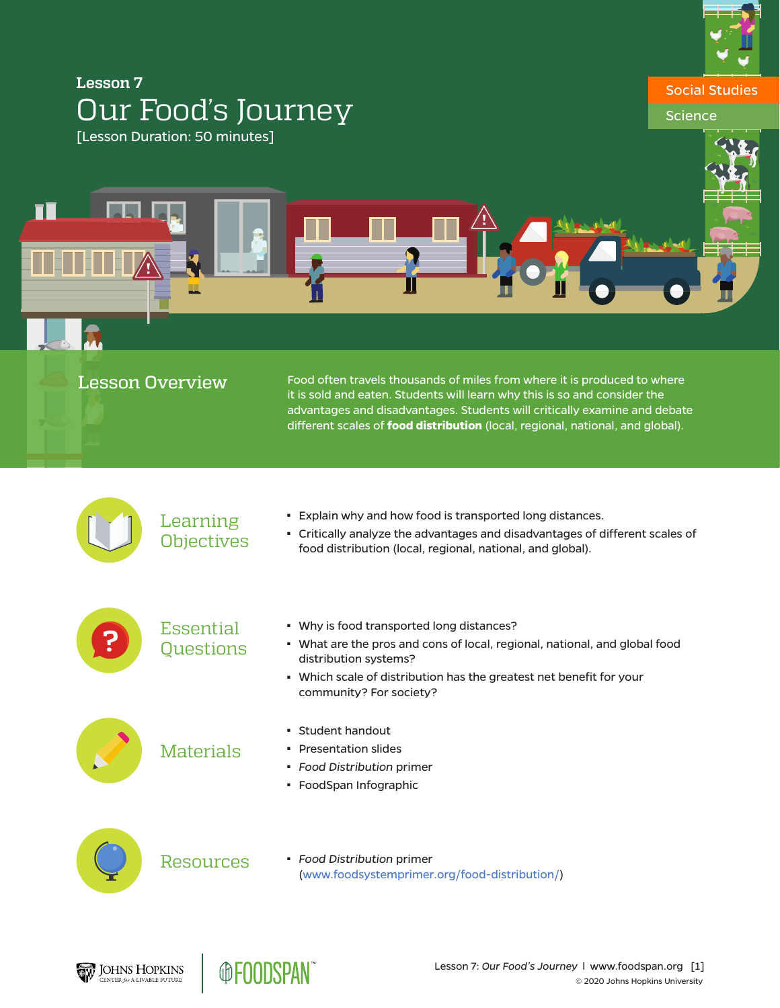

# **Lesson 7** Our Food's Journey [Lesson Duration: 50 minutes]

П

# Social Studies **Science**

| <b>Lesson Overview</b> |                               | Food often travels thousands of miles from where it is produced to where<br>it is sold and eaten. Students will learn why this is so and consider the<br>advantages and disadvantages. Students will critically examine and debate<br>different scales of food distribution (local, regional, national, and global). |
|------------------------|-------------------------------|----------------------------------------------------------------------------------------------------------------------------------------------------------------------------------------------------------------------------------------------------------------------------------------------------------------------|
|                        | Learning<br><b>Objectives</b> | . Explain why and how food is transported long distances.<br>- Critically analyze the advantages and disadvantages of different scales of<br>food distribution (local, regional, national, and global).                                                                                                              |
|                        | Essential<br>Questions        | • Why is food transported long distances?<br>• What are the pros and cons of local, regional, national, and global food<br>distribution systems?<br>• Which scale of distribution has the greatest net benefit for your<br>community? For society?                                                                   |
|                        | <b>Materials</b>              | • Student handout<br>• Presentation slides<br>• Food Distribution primer<br>- FoodSpan Infographic                                                                                                                                                                                                                   |
|                        | <b>Resources</b>              | · Food Distribution primer<br>(www.foodsystemprimer.org/food-distribution/)                                                                                                                                                                                                                                          |
|                        |                               |                                                                                                                                                                                                                                                                                                                      |

**@FOODSPAN** 

JOHNS HOPKINS

Lesson 7: *Our Food's Journey* l [www.foodspan.org](http://www.foodspanlearning.org) [1]

© 2020 Johns Hopkins University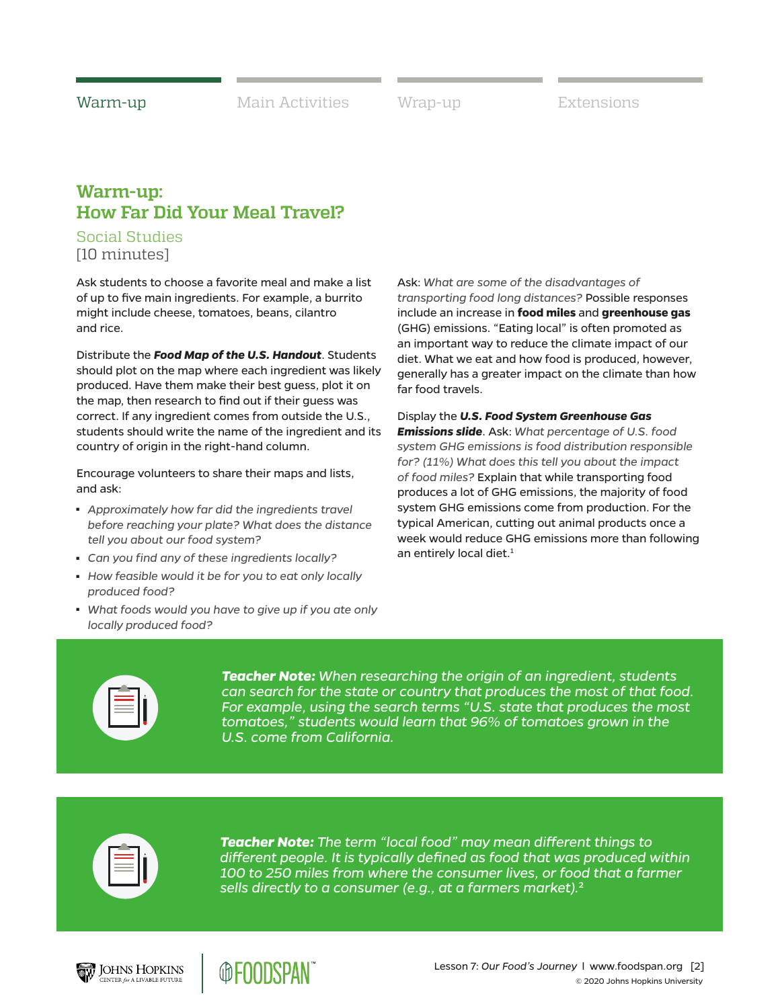### **Warm-up: How Far Did Your Meal Travel?**

### Social Studies [10 minutes]

Ask students to choose a favorite meal and make a list of up to five main ingredients. For example, a burrito might include cheese, tomatoes, beans, cilantro and rice.

Distribute the *Food Map of the U.S. Handout*. Students should plot on the map where each ingredient was likely produced. Have them make their best guess, plot it on the map, then research to find out if their guess was correct. If any ingredient comes from outside the U.S., students should write the name of the ingredient and its country of origin in the right-hand column.

Encourage volunteers to share their maps and lists, and ask:

- Approximately how far did the ingredients travel *before reaching your plate? What does the distance tell you about our food system?*
- *Can you find any of these ingredients locally?*
- How feasible would it be for you to eat only locally *produced food?*
- What foods would you have to give up if you ate only *locally produced food?*

Ask: *What are some of the disadvantages of transporting food long distances?* Possible responses include an increase in **food miles** and **greenhouse gas**  (GHG) emissions. "Eating local" is often promoted as an important way to reduce the climate impact of our diet. What we eat and how food is produced, however, generally has a greater impact on the climate than how far food travels.

Display the *U.S. Food System Greenhouse Gas Emissions slide*. Ask: *What percentage of U.S. food system GHG emissions is food distribution responsible for? (11%) What does this tell you about the impact of food miles?* Explain that while transporting food produces a lot of GHG emissions, the majority of food system GHG emissions come from production. For the typical American, cutting out animal products once a week would reduce GHG emissions more than following an entirely local diet.<sup>1</sup>



*Teacher Note: When researching the origin of an ingredient, students can search for the state or country that produces the most of that food. For example, using the search terms "U.S. state that produces the most tomatoes," students would learn that 96% of tomatoes grown in the U.S. come from California.* 



*Teacher Note: The term "local food" may mean different things to different people. It is typically defined as food that was produced within 100 to 250 miles from where the consumer lives, or food that a farmer sells directly to a consumer (e.g., at a farmers market).*<sup>2</sup>





Lesson 7: *Our Food's Journey* l [www.foodspan.org](http://www.foodspanlearning.org) [2] © 2020 Johns Hopkins University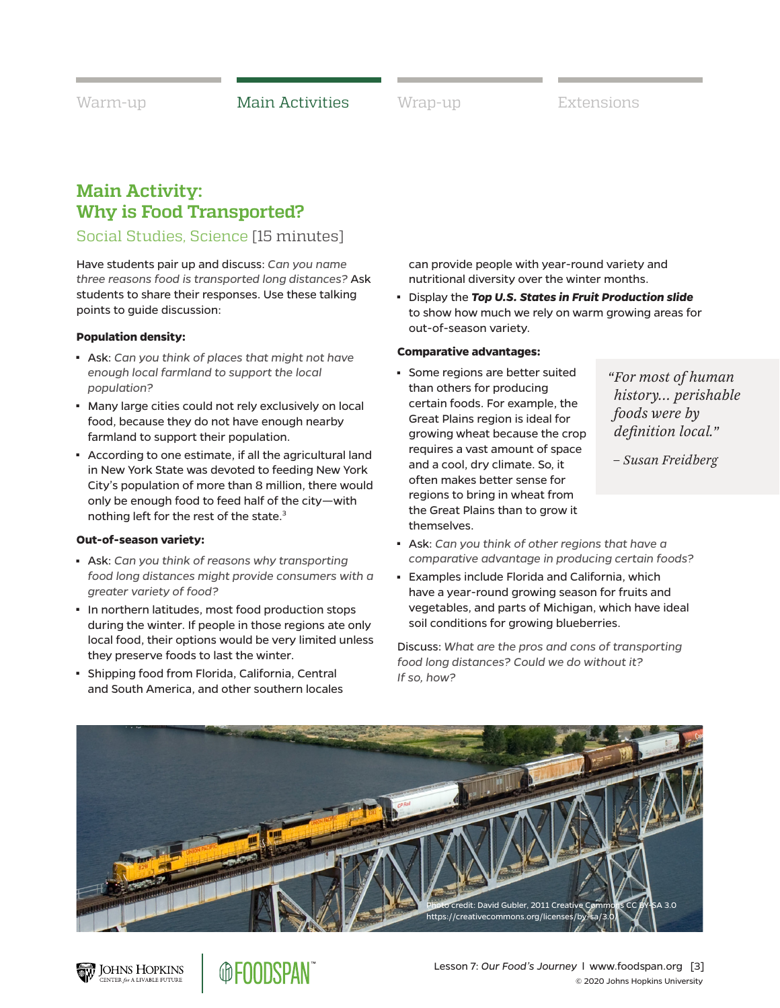Warm-up **Main Activities** Wrap-up Extensions

## **Main Activity: Why is Food Transported?**

### Social Studies, Science [15 minutes]

Have students pair up and discuss: *Can you name three reasons food is transported long distances?* Ask students to share their responses. Use these talking points to guide discussion:

#### **Population density:**

- Ask: Can you think of places that might not have *enough local farmland to support the local population?*
- Many large cities could not rely exclusively on local food, because they do not have enough nearby farmland to support their population.
- According to one estimate, if all the agricultural land in New York State was devoted to feeding New York City's population of more than 8 million, there would only be enough food to feed half of the city—with nothing left for the rest of the state.<sup>3</sup>

#### **Out-of-season variety:**

**JOHNS HOPKINS** NTER for A LIVABLE FUTURE

- Ask: *Can you think of reasons why transporting food long distances might provide consumers with a greater variety of food?*
- In northern latitudes, most food production stops during the winter. If people in those regions ate only local food, their options would be very limited unless they preserve foods to last the winter.

**@FOODSPAN** 

■ Shipping food from Florida, California, Central and South America, and other southern locales can provide people with year-round variety and nutritional diversity over the winter months.

<sup>◼</sup> Display the *Top U.S. States in Fruit Production slide*  to show how much we rely on warm growing areas for out-of-season variety.

#### **Comparative advantages:**

Some regions are better suited than others for producing certain foods. For example, the Great Plains region is ideal for growing wheat because the crop requires a vast amount of space and a cool, dry climate. So, it often makes better sense for regions to bring in wheat from the Great Plains than to grow it themselves.

*"For most of human history… perishable foods were by definition local."*

*– Susan Freidberg*

© 2020 Johns Hopkins University

- Ask: Can you think of other regions that have a *comparative advantage in producing certain foods?*
- Examples include Florida and California, which have a year-round growing season for fruits and vegetables, and parts of Michigan, which have ideal soil conditions for growing blueberries.

Discuss: *What are the pros and cons of transporting food long distances? Could we do without it? If so, how?*



Lesson 7: *Our Food's Journey* l [www.foodspan.org](http://www.foodspanlearning.org) [3]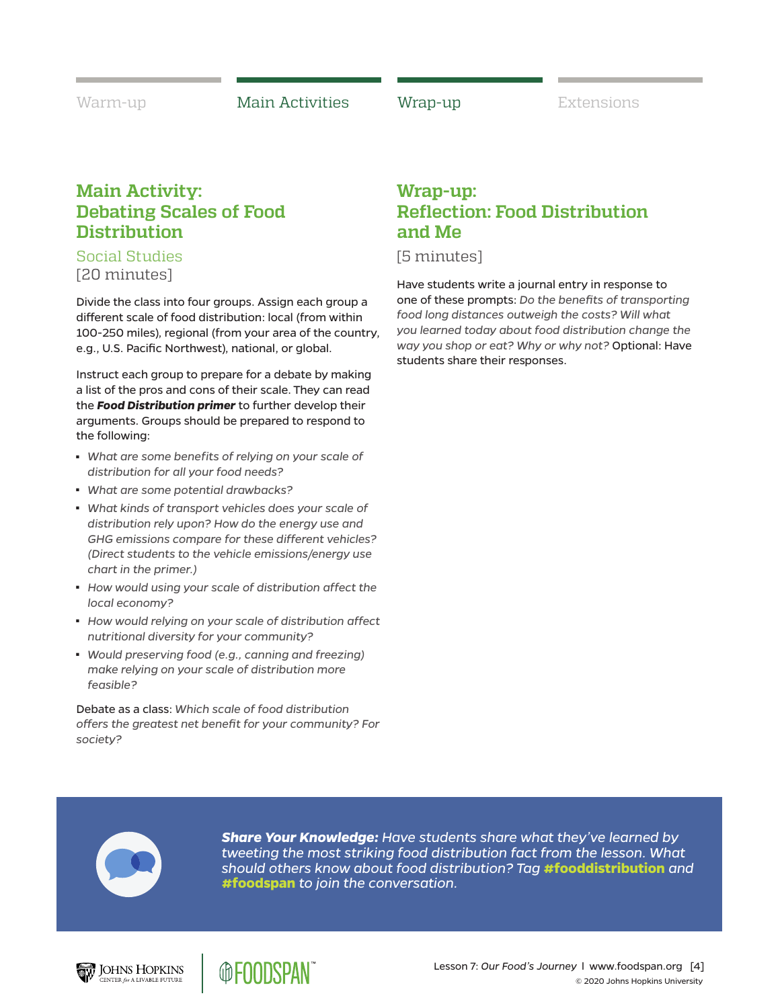Warm-up **Main Activities Man-up** Extensions

## **Main Activity: Debating Scales of Food Distribution**

### Social Studies [20 minutes]

Divide the class into four groups. Assign each group a different scale of food distribution: local (from within 100-250 miles), regional (from your area of the country, e.g., U.S. Pacific Northwest), national, or global.

Instruct each group to prepare for a debate by making a list of the pros and cons of their scale. They can read the *Food Distribution primer* to further develop their arguments. Groups should be prepared to respond to the following:

- What are some benefits of relying on your scale of *distribution for all your food needs?*
- <sup>◼</sup> *What are some potential drawbacks?*
- What kinds of transport vehicles does your scale of *distribution rely upon? How do the energy use and GHG emissions compare for these different vehicles? (Direct students to the vehicle emissions/energy use chart in the primer.)*
- How would using your scale of distribution affect the *local economy?*
- How would relying on your scale of distribution affect *nutritional diversity for your community?*
- *Would preserving food (e.g., canning and freezing) make relying on your scale of distribution more feasible?*

Debate as a class: *Which scale of food distribution offers the greatest net benefit for your community? For society?*

@ENNDSPAN

# **Wrap-up: Reflection: Food Distribution and Me**

[5 minutes]

Have students write a journal entry in response to one of these prompts: *Do the benefits of transporting food long distances outweigh the costs? Will what you learned today about food distribution change the way you shop or eat? Why or why not?* Optional: Have students share their responses.



*Share Your Knowledge: Have students share what they've learned by tweeting the most striking food distribution fact from the lesson. What should others know about food distribution? Tag* **#fooddistribution** *and*  **#foodspan** *to join the conversation.*